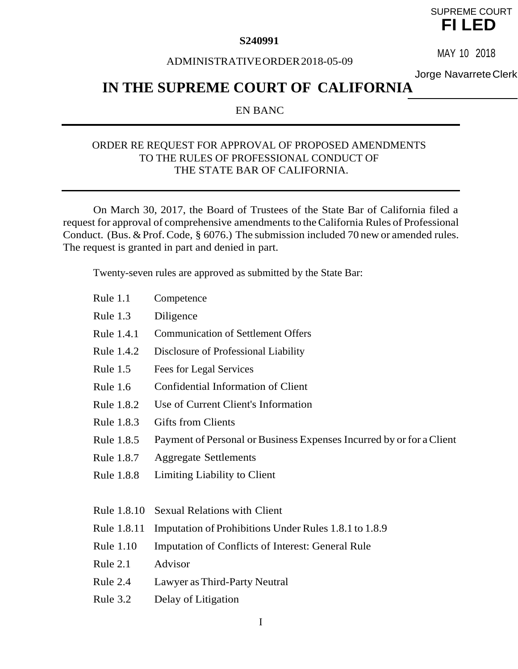#### **S240991**

# SUPREME COURT **FI LED**

#### ADMINISTRATIVEORDER2018-05-09

MAY 10 2018

Jorge NavarreteClerk

# **IN THE SUPREME COURT OF CALIFORNIA**

#### EN BANC

#### ORDER RE REQUEST FOR APPROVAL OF PROPOSED AMENDMENTS TO THE RULES OF PROFESSIONAL CONDUCT OF THE STATE BAR OF CALIFORNIA.

On March 30, 2017, the Board of Trustees of the State Bar of California filed a request for approval of comprehensive amendments to theCalifornia Rules of Professional Conduct. (Bus. & Prof. Code,  $\S$  6076.) The submission included 70 new or amended rules. The request is granted in part and denied in part.

Twenty-seven rules are approved as submitted by the State Bar:

| Rule $1.1$       | Competence                                                           |
|------------------|----------------------------------------------------------------------|
| Rule 1.3         | Diligence                                                            |
| Rule 1.4.1       | <b>Communication of Settlement Offers</b>                            |
| Rule 1.4.2       | Disclosure of Professional Liability                                 |
| Rule $1.5$       | Fees for Legal Services                                              |
| Rule 1.6         | Confidential Information of Client                                   |
| Rule 1.8.2       | Use of Current Client's Information                                  |
| Rule 1.8.3       | <b>Gifts from Clients</b>                                            |
| Rule 1.8.5       | Payment of Personal or Business Expenses Incurred by or for a Client |
| Rule 1.8.7       | <b>Aggregate Settlements</b>                                         |
| Rule 1.8.8       | Limiting Liability to Client                                         |
|                  |                                                                      |
| Rule 1.8.10      | <b>Sexual Relations with Client</b>                                  |
| Rule 1.8.11      | Imputation of Prohibitions Under Rules 1.8.1 to 1.8.9                |
| <b>Rule 1.10</b> | <b>Imputation of Conflicts of Interest: General Rule</b>             |
| Rule 2.1         | Advisor                                                              |
| Rule 2.4         | Lawyer as Third-Party Neutral                                        |

Rule 3.2 Delay of Litigation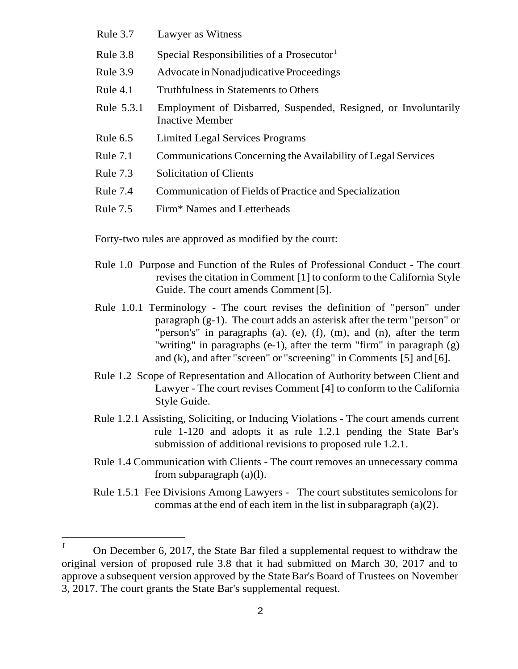- Rule 3.7 Lawyer as Witness
- Rule 3.8 Special Responsibilities of a Prosecutor<sup>1</sup>
- Rule 3.9 Advocate in Nonadjudicative Proceedings
- Rule 4.1 Truthfulness in Statements to Others
- Rule 5.3.1 Employment of Disbarred, Suspended, Resigned, or Involuntarily Inactive Member
- Rule 6.5 Limited Legal Services Programs
- Rule 7.1 Communications Concerning the Availability of Legal Services
- Rule 7.3 Solicitation of Clients
- Rule 7.4 Communication of Fields of Practice and Specialization
- Rule 7.5 Firm\* Names and Letterheads

Forty-two rules are approved as modified by the court:

- Rule 1.0 Purpose and Function of the Rules of Professional Conduct The court revises the citation in Comment [1] to conform to the California Style Guide. The court amends Comment [5].
- Rule 1.0.1 Terminology The court revises the definition of "person" under paragraph (g-1). The court adds an asterisk after the term "person" or "person's" in paragraphs (a), (e), (f), (m), and (n), after the term "writing" in paragraphs  $(e-1)$ , after the term "firm" in paragraph  $(g)$ and (k), and after "screen" or "screening" in Comments [5] and [6].
- Rule 1.2 Scope of Representation and Allocation of Authority between Client and Lawyer - The court revises Comment [4] to conform to the California Style Guide.
- Rule 1.2.1 Assisting, Soliciting, or Inducing Violations The court amends current rule 1-120 and adopts it as rule 1.2.1 pending the State Bar's submission of additional revisions to proposed rule 1.2.1.
- Rule 1.4 Communication with Clients The court removes an unnecessary comma from subparagraph (a)(l).
- Rule 1.5.1 Fee Divisions Among Lawyers The court substitutes semicolons for commas at the end of each item in the list in subparagraph (a)(2).

I On December 6, 2017, the State Bar filed a supplemental request to withdraw the original version of proposed rule 3.8 that it had submitted on March 30, 2017 and to approve a subsequent version approved by the StateBar's Board of Trustees on November 3, 2017. The court grants the State Bar's supplemental request.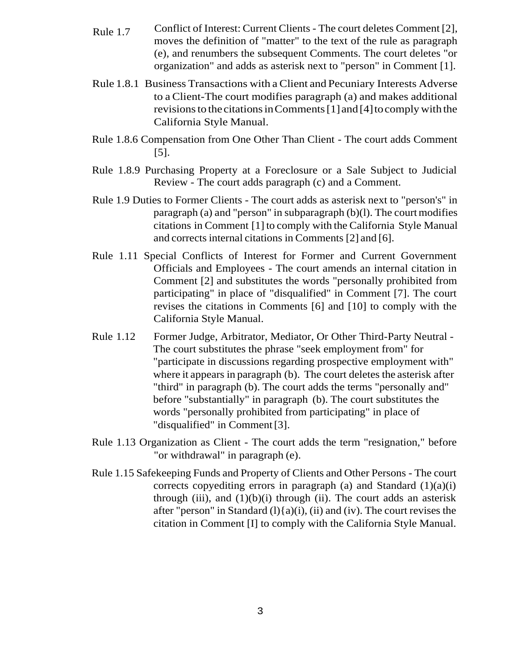- Rule 1.7 Conflict of Interest: Current Clients The court deletes Comment [2], moves the definition of "matter" to the text of the rule as paragraph (e), and renumbers the subsequent Comments. The court deletes "or organization" and adds as asterisk next to "person" in Comment [1].
- Rule 1.8.1 Business Transactions with a Client and Pecuniary Interests Adverse to a Client-The court modifies paragraph (a) and makes additional revisionsto thecitationsinComments[1]and [4]tocomply withthe California Style Manual.
- Rule 1.8.6 Compensation from One Other Than Client The court adds Comment [5].
- Rule 1.8.9 Purchasing Property at a Foreclosure or a Sale Subject to Judicial Review - The court adds paragraph (c) and a Comment.
- Rule 1.9 Duties to Former Clients The court adds as asterisk next to "person's" in paragraph (a) and "person" in subparagraph  $(b)(l)$ . The court modifies citations in Comment [1] to comply with the California Style Manual and corrects internal citations in Comments [2] and [6].
- Rule 1.11 Special Conflicts of Interest for Former and Current Government Officials and Employees - The court amends an internal citation in Comment [2] and substitutes the words "personally prohibited from participating" in place of "disqualified" in Comment [7]. The court revises the citations in Comments [6] and [10] to comply with the California Style Manual.
- Rule 1.12 Former Judge, Arbitrator, Mediator, Or Other Third-Party Neutral The court substitutes the phrase "seek employment from" for "participate in discussions regarding prospective employment with" where it appears in paragraph (b). The court deletes the asterisk after "third" in paragraph (b). The court adds the terms "personally and" before "substantially" in paragraph (b). The court substitutes the words "personally prohibited from participating" in place of "disqualified" in Comment[3].
- Rule 1.13 Organization as Client The court adds the term "resignation," before "or withdrawal" in paragraph (e).
- Rule 1.15 Safekeeping Funds and Property of Clients and Other Persons The court corrects copyediting errors in paragraph (a) and Standard  $(1)(a)(i)$ through (iii), and  $(1)(b)(i)$  through (ii). The court adds an asterisk after "person" in Standard  $(l)$ {a) $(i)$ ,  $(ii)$  and  $(iv)$ . The court revises the citation in Comment [I] to comply with the California Style Manual.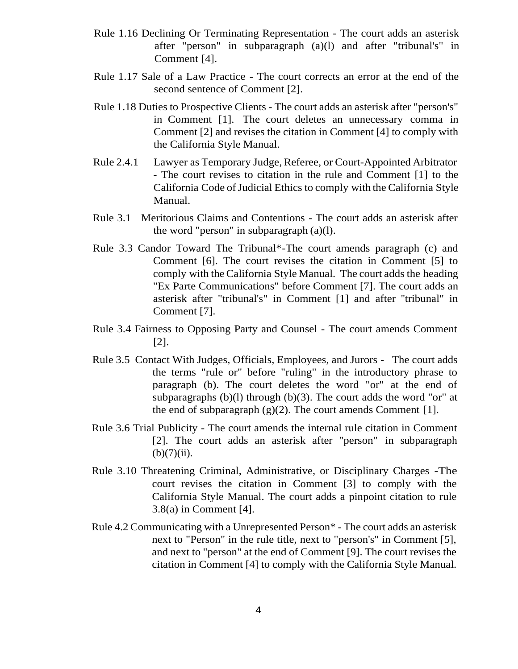- Rule 1.16 Declining Or Terminating Representation The court adds an asterisk after "person" in subparagraph (a)(l) and after "tribunal's" in Comment [4].
- Rule 1.17 Sale of a Law Practice The court corrects an error at the end of the second sentence of Comment [2].
- Rule 1.18 Duties to Prospective Clients The court adds an asterisk after "person's" in Comment [1]. The court deletes an unnecessary comma in Comment [2] and revises the citation in Comment [4] to comply with the California Style Manual.
- Rule 2.4.1 Lawyer as Temporary Judge, Referee, or Court-Appointed Arbitrator - The court revises to citation in the rule and Comment [1] to the California Code of Judicial Ethics to comply with the California Style Manual.
- Rule 3.1 Meritorious Claims and Contentions The court adds an asterisk after the word "person" in subparagraph (a)(l).
- Rule 3.3 Candor Toward The Tribunal\*-The court amends paragraph (c) and Comment [6]. The court revises the citation in Comment [5] to comply with the California Style Manual. The court adds the heading "Ex Parte Communications" before Comment [7]. The court adds an asterisk after "tribunal's" in Comment [1] and after ''tribunal" in Comment [7].
- Rule 3.4 Fairness to Opposing Party and Counsel The court amends Comment [2].
- Rule 3.5 Contact With Judges, Officials, Employees, and Jurors The court adds the terms "rule or" before "ruling" in the introductory phrase to paragraph (b). The court deletes the word "or" at the end of subparagraphs (b)(l) through (b)(3). The court adds the word "or" at the end of subparagraph  $(g)(2)$ . The court amends Comment [1].
- Rule 3.6 Trial Publicity The court amends the internal rule citation in Comment [2]. The court adds an asterisk after "person" in subparagraph  $(b)(7)(ii)$ .
- Rule 3.10 Threatening Criminal, Administrative, or Disciplinary Charges -The court revises the citation in Comment [3] to comply with the California Style Manual. The court adds a pinpoint citation to rule 3.8(a) in Comment [4].
- Rule 4.2 Communicating with a Unrepresented Person\* The court adds an asterisk next to "Person" in the rule title, next to "person's" in Comment [5], and next to "person" at the end of Comment [9]. The court revises the citation in Comment [4] to comply with the California Style Manual.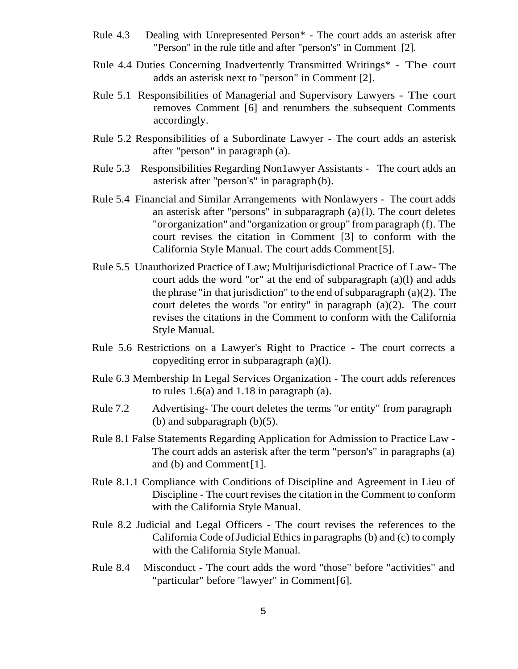- Rule 4.3 Dealing with Unrepresented Person\* The court adds an asterisk after "Person" in the rule title and after "person's" in Comment [2].
- Rule 4.4 Duties Concerning Inadvertently Transmitted Writings\* The court adds an asterisk next to "person" in Comment [2].
- Rule 5.1 Responsibilities of Managerial and Supervisory Lawyers The court removes Comment [6] and renumbers the subsequent Comments accordingly.
- Rule 5.2 Responsibilities of a Subordinate Lawyer The court adds an asterisk after "person" in paragraph (a).
- Rule 5.3 Responsibilities Regarding Non1awyer Assistants The court adds an asterisk after "person's" in paragraph (b).
- Rule 5.4 Financial and Similar Arrangements with Nonlawyers The court adds an asterisk after "persons" in subparagraph (a){l). The court deletes "ororganization" and "organization or group" fromparagraph (f). The court revises the citation in Comment [3] to conform with the California Style Manual. The court adds Comment[5].
- Rule 5.5 Unauthorized Practice of Law; Multijurisdictional Practice of Law- The court adds the word "or" at the end of subparagraph (a)(l) and adds the phrase "in that jurisdiction" to the end of subparagraph  $(a)(2)$ . The court deletes the words "or entity" in paragraph (a)(2). The court revises the citations in the Comment to conform with the California Style Manual.
- Rule 5.6 Restrictions on a Lawyer's Right to Practice The court corrects a copyediting error in subparagraph (a)(l).
- Rule 6.3 Membership In Legal Services Organization The court adds references to rules 1.6(a) and 1.18 in paragraph (a).
- Rule 7.2 Advertising- The court deletes the terms "or entity" from paragraph (b) and subparagraph  $(b)(5)$ .
- Rule 8.1 False Statements Regarding Application for Admission to Practice Law The court adds an asterisk after the term "person's" in paragraphs (a) and (b) and Comment[1].
- Rule 8.1.1 Compliance with Conditions of Discipline and Agreement in Lieu of Discipline - The court revises the citation in the Comment to conform with the California Style Manual.
- Rule 8.2 Judicial and Legal Officers The court revises the references to the California Code of Judicial Ethics in paragraphs (b) and (c) to comply with the California Style Manual.
- Rule 8.4 Misconduct The court adds the word ''those" before "activities" and "particular" before "lawyer" in Comment[6].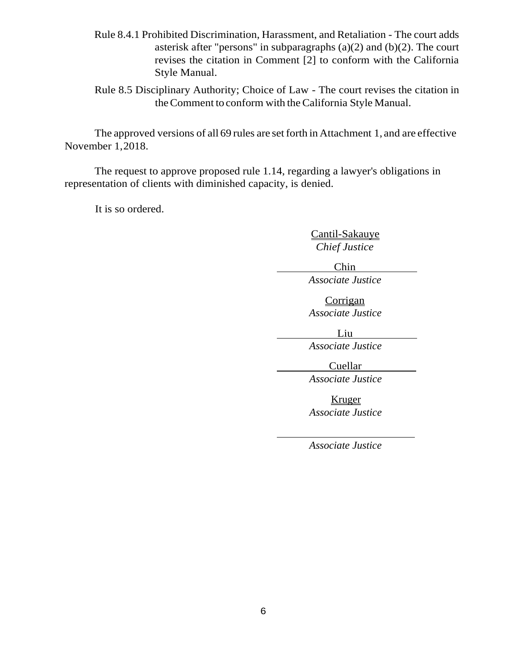- Rule 8.4.1 Prohibited Discrimination, Harassment, and Retaliation The court adds asterisk after "persons" in subparagraphs (a)(2) and (b)(2). The court revises the citation in Comment [2] to conform with the California Style Manual.
- Rule 8.5 Disciplinary Authority; Choice of Law The court revises the citation in the Comment to conform with the California Style Manual.

The approved versions of all 69 rules are set forth in Attachment 1, and are effective November 1,2018.

The request to approve proposed rule 1.14, regarding a lawyer's obligations in representation of clients with diminished capacity, is denied.

It is so ordered.

Cantil-Sakauye *Chief Justice*

Chin

*Associate Justice*

**Corrigan** *Associate Justice*

Liu

*Associate Justice*

Cuellar

*Associate Justice*

Kruger *Associate Justice* 

*Associate Justice*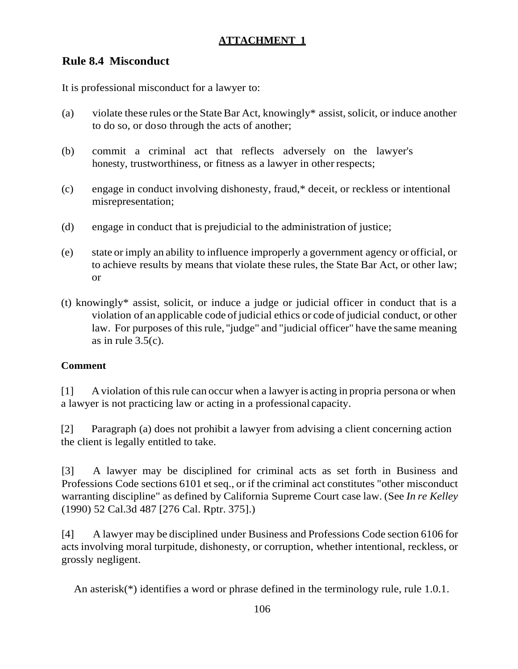# **Rule 8.4 Misconduct**

It is professional misconduct for a lawyer to:

- (a) violate these rules or the State Bar Act, knowingly\* assist, solicit, or induce another to do so, or doso through the acts of another;
- (b) commit a criminal act that reflects adversely on the lawyer's honesty, trustworthiness, or fitness as a lawyer in other respects;
- (c) engage in conduct involving dishonesty, fraud,\* deceit, or reckless or intentional misrepresentation;
- (d) engage in conduct that is prejudicial to the administration of justice;
- (e) state or imply an ability to influence improperly a government agency or official, or to achieve results by means that violate these rules, the State Bar Act, or other law; or
- (t) knowingly\* assist, solicit, or induce a judge or judicial officer in conduct that is a violation of an applicable code of judicial ethics or code of judicial conduct, or other law. For purposes of this rule, ''judge" and "judicial officer" have the same meaning as in rule  $3.5(c)$ .

### **Comment**

[1] Aviolation ofthisrule can occur when a lawyer is acting in propria persona or when a lawyer is not practicing law or acting in a professional capacity.

[2] Paragraph (a) does not prohibit a lawyer from advising a client concerning action the client is legally entitled to take.

[3] A lawyer may be disciplined for criminal acts as set forth in Business and Professions Code sections 6101 et seq., or if the criminal act constitutes "other misconduct" warranting discipline" as defined by California Supreme Court case law. (See *In re Kelley*  (1990) 52 Cal.3d 487 [276 Cal. Rptr. 375].)

[4] A lawyer may be disciplined under Business and Professions Code section 6106 for acts involving moral turpitude, dishonesty, or corruption, whether intentional, reckless, or grossly negligent.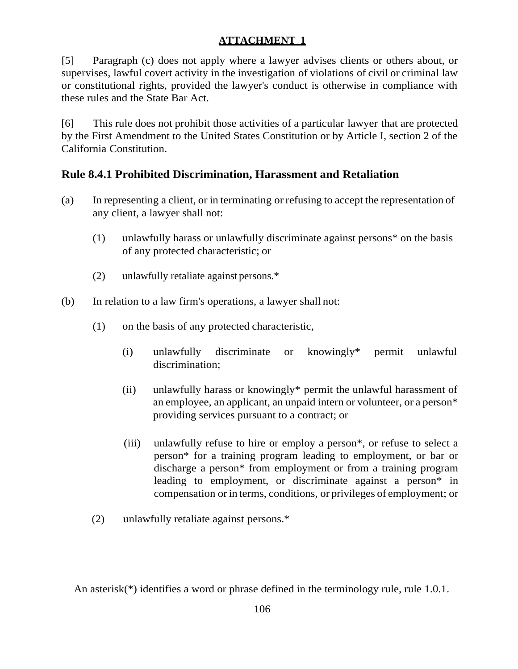[5] Paragraph (c) does not apply where a lawyer advises clients or others about, or supervises, lawful covert activity in the investigation of violations of civil or criminal law or constitutional rights, provided the lawyer's conduct is otherwise in compliance with these rules and the State Bar Act.

[6] This rule does not prohibit those activities of a particular lawyer that are protected by the First Amendment to the United States Constitution or by Article I, section 2 of the California Constitution.

## **Rule 8.4.1 Prohibited Discrimination, Harassment and Retaliation**

- (a) In representing a client, or in terminating or refusing to accept the representation of any client, a lawyer shall not:
	- (1) unlawfully harass or unlawfully discriminate against persons\* on the basis of any protected characteristic; or
	- (2) unlawfully retaliate against persons.\*
- (b) In relation to a law firm's operations, a lawyer shall not:
	- (1) on the basis of any protected characteristic,
		- (i) unlawfully discriminate or knowingly\* permit unlawful discrimination;
		- (ii) unlawfully harass or knowingly\* permit the unlawful harassment of an employee, an applicant, an unpaid intern or volunteer, or a person\* providing services pursuant to a contract; or
		- (iii) unlawfully refuse to hire or employ a person\*, or refuse to select a person\* for a training program leading to employment, or bar or discharge a person\* from employment or from a training program leading to employment, or discriminate against a person\* in compensation or in terms, conditions, or privileges of employment; or
	- (2) unlawfully retaliate against persons.\*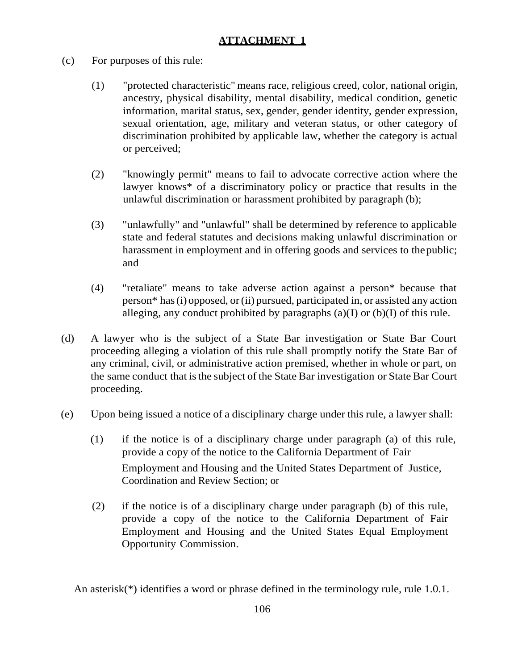- (c) For purposes of this rule:
	- (1) "protected characteristic" means race, religious creed, color, national origin, ancestry, physical disability, mental disability, medical condition, genetic information, marital status, sex, gender, gender identity, gender expression, sexual orientation, age, military and veteran status, or other category of discrimination prohibited by applicable law, whether the category is actual or perceived;
	- (2) "knowingly permit" means to fail to advocate corrective action where the lawyer knows\* of a discriminatory policy or practice that results in the unlawful discrimination or harassment prohibited by paragraph (b);
	- (3) "unlawfully" and "unlawful" shall be determined by reference to applicable state and federal statutes and decisions making unlawful discrimination or harassment in employment and in offering goods and services to the public; and
	- (4) "retaliate" means to take adverse action against a person\* because that person\* has(i) opposed, or(ii) pursued, participated in, or assisted any action alleging, any conduct prohibited by paragraphs  $(a)(I)$  or  $(b)(I)$  of this rule.
- (d) A lawyer who is the subject of a State Bar investigation or State Bar Court proceeding alleging a violation of this rule shall promptly notify the State Bar of any criminal, civil, or administrative action premised, whether in whole or part, on the same conduct that is the subject of the State Bar investigation or State Bar Court proceeding.
- (e) Upon being issued a notice of a disciplinary charge under this rule, a lawyer shall:
	- (1) if the notice is of a disciplinary charge under paragraph (a) of this rule, provide a copy of the notice to the California Department of Fair Employment and Housing and the United States Department of Justice, Coordination and Review Section; or
	- (2) if the notice is of a disciplinary charge under paragraph (b) of this rule, provide a copy of the notice to the California Department of Fair Employment and Housing and the United States Equal Employment Opportunity Commission.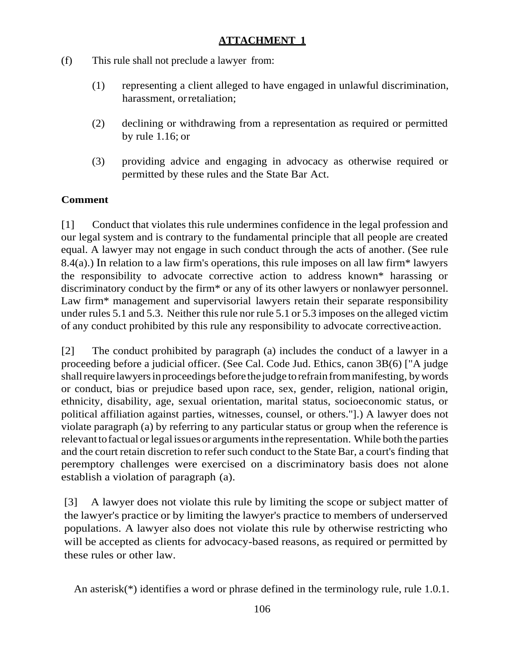- (f) This rule shall not preclude a lawyer from:
	- (1) representing a client alleged to have engaged in unlawful discrimination, harassment, orretaliation;
	- (2) declining or withdrawing from a representation as required or permitted by rule 1.16; or
	- (3) providing advice and engaging in advocacy as otherwise required or permitted by these rules and the State Bar Act.

### **Comment**

[1] Conduct that violates this rule undermines confidence in the legal profession and our legal system and is contrary to the fundamental principle that all people are created equal. A lawyer may not engage in such conduct through the acts of another. (See rule 8.4(a).) In relation to a law firm's operations, this rule imposes on all law firm\* lawyers the responsibility to advocate corrective action to address known\* harassing or discriminatory conduct by the firm\* or any of its other lawyers or nonlawyer personnel. Law firm<sup>\*</sup> management and supervisorial lawyers retain their separate responsibility under rules 5.1 and 5.3. Neither thisrule nor rule 5.1 or 5.3 imposes on the alleged victim of any conduct prohibited by this rule any responsibility to advocate correctiveaction.

[2] The conduct prohibited by paragraph (a) includes the conduct of a lawyer in a proceeding before a judicial officer. (See Cal. Code Jud. Ethics, canon 3B(6) ["A judge shall require lawyers in proceedings before the judge to refrain from manifesting, by words or conduct, bias or prejudice based upon race, sex, gender, religion, national origin, ethnicity, disability, age, sexual orientation, marital status, socioeconomic status, or political affiliation against parties, witnesses, counsel, or others."].) A lawyer does not violate paragraph (a) by referring to any particular status or group when the reference is relevant to factual or legal issues or arguments in the representation. While both the parties and the court retain discretion to refer such conduct to the State Bar, a court's finding that peremptory challenges were exercised on a discriminatory basis does not alone establish a violation of paragraph (a).

[3] A lawyer does not violate this rule by limiting the scope or subject matter of the lawyer's practice or by limiting the lawyer's practice to members of underserved populations. A lawyer also does not violate this rule by otherwise restricting who will be accepted as clients for advocacy-based reasons, as required or permitted by these rules or other law.